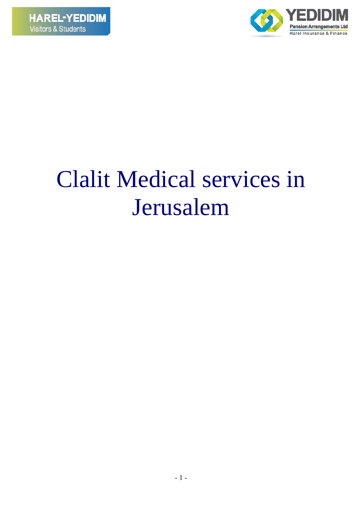

# Clalit Medical services in Jerusalem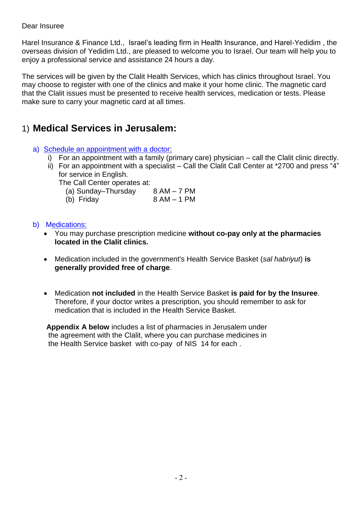#### Dear Insuree

Harel Insurance & Finance Ltd., Israel's leading firm in Health Insurance, and Harel-Yedidim , the overseas division of Yedidim Ltd., are pleased to welcome you to Israel. Our team will help you to enjoy a professional service and assistance 24 hours a day.

The services will be given by the Clalit Health Services, which has clinics throughout Israel. You may choose to register with one of the clinics and make it your home clinic. The magnetic card that the Clalit issues must be presented to receive health services, medication or tests. Please make sure to carry your magnetic card at all times.

## 1) **Medical Services in Jerusalem:**

- a) Schedule an appointment with a doctor:
	- i) For an appointment with a family (primary care) physician call the Clalit clinic directly.
	- ii) For an appointment with a specialist Call the Clalit Call Center at \*2700 and press "4" for service in English.

The Call Center operates at:

| (a) Sunday-Thursday | $8 AM - 7 PM$ |
|---------------------|---------------|
| (b) Friday          | 8 AM – 1 PM   |

#### b) Medications:

- You may purchase prescription medicine **without co-pay only at the pharmacies located in the Clalit clinics.**
- Medication included in the government's Health Service Basket (*sal habriyut*) **is generally provided free of charge**.
- Medication **not included** in the Health Service Basket **is paid for by the Insuree**. Therefore, if your doctor writes a prescription, you should remember to ask for medication that is included in the Health Service Basket.

 **Appendix A below** includes a list of pharmacies in Jerusalem under the agreement with the Clalit, where you can purchase medicines in the Health Service basket with co-pay of NIS 14 for each .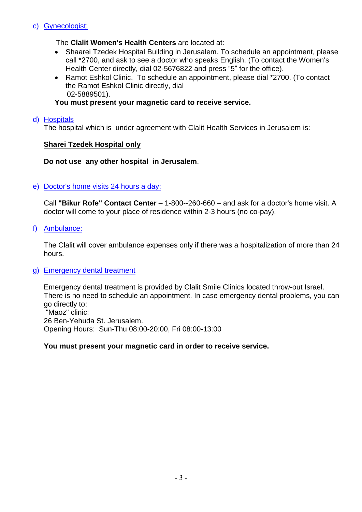#### c) Gynecologist:

#### The **Clalit Women's Health Centers** are located at:

- Shaarei Tzedek Hospital Building in Jerusalem. To schedule an appointment, please call \*2700, and ask to see a doctor who speaks English. (To contact the Women's Health Center directly, dial 02-5676822 and press "5" for the office).
- Ramot Eshkol Clinic. To schedule an appointment, please dial \*2700. (To contact the Ramot Eshkol Clinic directly, dial 02-5889501).

#### **You must present your magnetic card to receive service.**

#### d) Hospitals

The hospital which is under agreement with Clalit Health Services in Jerusalem is:

#### **Sharei Tzedek Hospital only**

#### **Do not use any other hospital in Jerusalem**.

#### e) Doctor's home visits 24 hours a day:

Call **"Bikur Rofe" Contact Center** – 1-800--260-660 – and ask for a doctor's home visit. A doctor will come to your place of residence within 2-3 hours (no co-pay).

f) Ambulance:

The Clalit will cover ambulance expenses only if there was a hospitalization of more than 24 hours.

#### g) Emergency dental treatment

Emergency dental treatment is provided by Clalit Smile Clinics located throw-out Israel. There is no need to schedule an appointment. In case emergency dental problems, you can go directly to: "Maoz" clinic: 26 Ben-Yehuda St. Jerusalem. Opening Hours: Sun-Thu 08:00-20:00, Fri 08:00-13:00

#### **You must present your magnetic card in order to receive service.**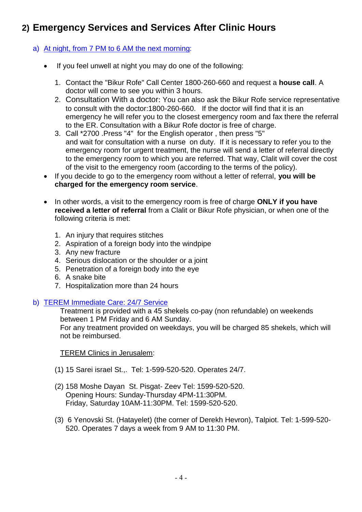## **2) Emergency Services and Services After Clinic Hours**

#### a) At night, from 7 PM to 6 AM the next morning:

- If you feel unwell at night you may do one of the following:
	- 1. Contact the "Bikur Rofe" Call Center 1800-260-660 and request a **house call**. A doctor will come to see you within 3 hours.
	- 2. Consultation With a doctor: You can also ask the Bikur Rofe service representative to consult with the doctor:1800-260-660. If the doctor will find that it is an emergency he will refer you to the closest emergency room and fax there the referral to the ER. Consultation with a Bikur Rofe doctor is free of charge.
	- 3. Call \*2700 .Press "4" for the English operator , then press "5" and wait for consultation with a nurse on duty. If it is necessary to refer you to the emergency room for urgent treatment, the nurse will send a letter of referral directly to the emergency room to which you are referred. That way, Clalit will cover the cost of the visit to the emergency room (according to the terms of the policy).
- If you decide to go to the emergency room without a letter of referral, **you will be charged for the emergency room service**.
- In other words, a visit to the emergency room is free of charge **ONLY if you have received a letter of referral** from a Clalit or Bikur Rofe physician, or when one of the following criteria is met:
	- 1. An injury that requires stitches
	- 2. Aspiration of a foreign body into the windpipe
	- 3. Any new fracture
	- 4. Serious dislocation or the shoulder or a joint
	- 5. Penetration of a foreign body into the eye
	- 6. A snake bite
	- 7. Hospitalization more than 24 hours
- b) TEREM Immediate Care: 24/7 Service

Treatment is provided with a 45 shekels co-pay (non refundable) on weekends between 1 PM Friday and 6 AM Sunday.

For any treatment provided on weekdays, you will be charged 85 shekels, which will not be reimbursed.

TEREM Clinics in Jerusalem:

- (1) 15 Sarei israel St.,. Tel: 1-599-520-520. Operates 24/7.
- (2) 158 Moshe Dayan St. Pisgat- Zeev Tel: 1599-520-520. Opening Hours: Sunday-Thursday 4PM-11:30PM. Friday, Saturday 10AM-11:30PM. Tel: 1599-520-520.
- (3) 6 Yenovski St. (Hatayelet) (the corner of Derekh Hevron), Talpiot. Tel: 1-599-520- 520. Operates 7 days a week from 9 AM to 11:30 PM.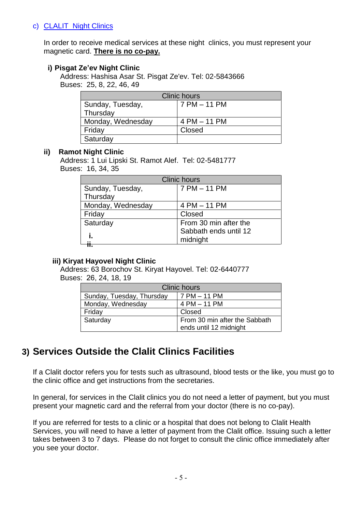#### c) CLALIT Night Clinics

In order to receive medical services at these night clinics, you must represent your magnetic card. **There is no co-pay.**

#### **i) Pisgat Ze'ev Night Clinic**

Address: Hashisa Asar St. Pisgat Ze'ev. Tel: 02-5843666 Buses: 25, 8, 22, 46, 49

| <b>Clinic hours</b> |              |  |  |  |
|---------------------|--------------|--|--|--|
| Sunday, Tuesday,    | 7 PM - 11 PM |  |  |  |
| Thursday            |              |  |  |  |
| Monday, Wednesday   | 4 PM - 11 PM |  |  |  |
| Friday              | Closed       |  |  |  |
| Saturday            |              |  |  |  |

#### **ii) Ramot Night Clinic**

Address: 1 Lui Lipski St. Ramot Alef. Tel: 02-5481777 Buses: 16, 34, 35

| <b>Clinic hours</b> |                       |  |  |
|---------------------|-----------------------|--|--|
| Sunday, Tuesday,    | 7 PM - 11 PM          |  |  |
| Thursday            |                       |  |  |
| Monday, Wednesday   | 4 PM - 11 PM          |  |  |
| Friday              | Closed                |  |  |
| Saturday            | From 30 min after the |  |  |
|                     | Sabbath ends until 12 |  |  |
|                     | midnight              |  |  |
|                     |                       |  |  |

#### **iii) Kiryat Hayovel Night Clinic**

Address: 63 Borochov St. Kiryat Hayovel. Tel: 02-6440777 Buses: 26, 24, 18, 19

| <b>Clinic hours</b>       |                               |  |  |  |
|---------------------------|-------------------------------|--|--|--|
| Sunday, Tuesday, Thursday | l 7 PM – 11 PM                |  |  |  |
| Monday, Wednesday         | 4 PM - 11 PM                  |  |  |  |
| Friday                    | Closed                        |  |  |  |
| Saturday                  | From 30 min after the Sabbath |  |  |  |
|                           | ends until 12 midnight        |  |  |  |

## **3) Services Outside the Clalit Clinics Facilities**

If a Clalit doctor refers you for tests such as ultrasound, blood tests or the like, you must go to the clinic office and get instructions from the secretaries.

In general, for services in the Clalit clinics you do not need a letter of payment, but you must present your magnetic card and the referral from your doctor (there is no co-pay).

If you are referred for tests to a clinic or a hospital that does not belong to Clalit Health Services, you will need to have a letter of payment from the Clalit office. Issuing such a letter takes between 3 to 7 days. Please do not forget to consult the clinic office immediately after you see your doctor.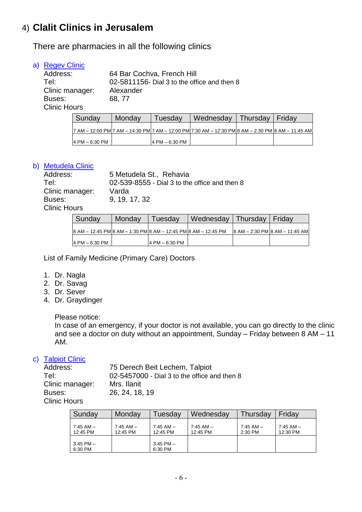## 4) **Clalit Clinics in Jerusalem**

There are pharmacies in all the following clinics

#### a) Regev Clinic

| Address:            | 64 Bar Cochva, French Hill                  |
|---------------------|---------------------------------------------|
| Tel:                | 02-5811156- Dial 3 to the office and then 8 |
| Clinic manager:     | Alexander                                   |
| Buses:              | 68, 77                                      |
| <b>Clinic Hours</b> |                                             |

| Sunday         | <b>Monday</b> | Tuesday         | Wednesday                                                                                         | Thursday   Friday |  |
|----------------|---------------|-----------------|---------------------------------------------------------------------------------------------------|-------------------|--|
|                |               |                 | 7 AM - 12:00 PM 7 AM - 14:30 PM 7 AM - 12:00 PM 7:30 AM - 12:30 PM 8 AM - 2:30 PM 8 AM - 11:45 AM |                   |  |
| 4 PM - 6:30 PM |               | 4 PM $-6:30$ PM |                                                                                                   |                   |  |

#### b) Metudela Clinic

| Address:            | 5 Metudela St., Rehavia                       |
|---------------------|-----------------------------------------------|
| Tel:                | 02-539-8555 - Dial 3 to the office and then 8 |
| Clinic manager:     | Varda                                         |
| Buses:              | 9, 19, 17, 32                                 |
| <b>Clinic Hours</b> |                                               |
|                     |                                               |

| Sunday          | Monday | Tuesday        | Wednesday   Thursday   Friday                                  |                                |
|-----------------|--------|----------------|----------------------------------------------------------------|--------------------------------|
|                 |        |                | 8 AM - 12:45 PM 8 AM - 1:30 PM 8 AM - 12:45 PM 8 AM - 12:45 PM | 8 AM - 2:30 PM 8 AM - 11:45 AM |
| 14 PM – 6:30 PM |        | 4 PM – 6:30 PM |                                                                |                                |

List of Family Medicine (Primary Care) Doctors

- 1. Dr. Nagla
- 2. Dr. Savag
- 3. Dr. Sever
- 4. Dr. Graydinger

Please notice:

In case of an emergency, if your doctor is not available, you can go directly to the clinic and see a doctor on duty without an appointment, Sunday – Friday between 8 AM – 11 AM.

#### c) Talpiot Clinic

| Address:            | 75 Derech Beit Lechem, Talpiot               |
|---------------------|----------------------------------------------|
| Tel:                | 02-5457000 - Dial 3 to the office and then 8 |
| Clinic manager:     | Mrs. Ilanit                                  |
| Buses:              | 26, 24, 18, 19                               |
| <b>Clinic Hours</b> |                                              |

| Sunday                   | Monday                    | Tuesdav                   | Wednesday                 | Thursdav                 | Fridav                    |
|--------------------------|---------------------------|---------------------------|---------------------------|--------------------------|---------------------------|
| 7:45 AM -<br>12:45 PM    | $7:45$ AM $-$<br>12:45 PM | $7:45$ AM $-$<br>12:45 PM | $7:45$ AM $-$<br>12:45 PM | $7:45$ AM $-$<br>2:30 PM | $7:45$ AM $-$<br>12:30 PM |
| $3:45$ PM $-$<br>6:30 PM |                           | $3:45$ PM $-$<br>6:30 PM  |                           |                          |                           |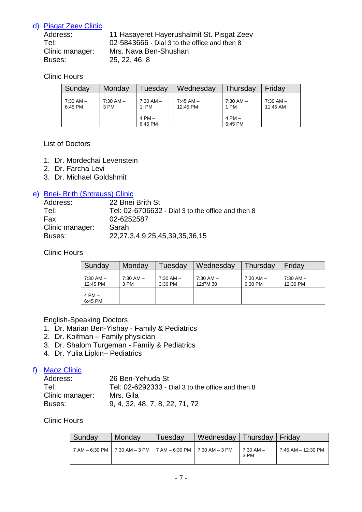#### d) Pisgat Zeev Clinic

| Address:        | 11 Hasayeret Hayerushalmit St. Pisgat Zeev   |
|-----------------|----------------------------------------------|
| Tel:            | 02-5843666 - Dial 3 to the office and then 8 |
| Clinic manager: | Mrs. Nava Ben-Shushan                        |
| Buses:          | 25, 22, 46, 8                                |

#### Clinic Hours

| Sunday                   | Monday                | Tuesdav             | Wednesday                 | Thursdav              | Friday                    |
|--------------------------|-----------------------|---------------------|---------------------------|-----------------------|---------------------------|
| $7:30$ AM $-$<br>6:45 PM | $7:30$ AM $-$<br>3 PM | $7:30$ AM $-$<br>PM | $7:45$ AM $-$<br>12:45 PM | $7:30$ AM $-$<br>1 PM | $7:30$ AM $-$<br>11:45 AM |
|                          |                       | $4 PM -$<br>6:45 PM |                           | $4 PM -$<br>6:45 PM   |                           |

#### List of Doctors

- 1. Dr. Mordechai Levenstein
- 2. Dr. Farcha Levi
- 3. Dr. Michael Goldshmit

#### e) Bnei- Brith (Shtrauss) Clinic

| Address:        | 22 Bnei Brith St                                  |
|-----------------|---------------------------------------------------|
| Tel:            | Tel: 02-6706632 - Dial 3 to the office and then 8 |
| Fax             | 02-6252587                                        |
| Clinic manager: | Sarah                                             |
| Buses:          | 22, 27, 3, 4, 9, 25, 45, 39, 35, 36, 15           |

#### Clinic Hours

| Sunday                    | Monday                | Tuesdav                  | Wednesday                 | Thursday                 | Fridav                    |
|---------------------------|-----------------------|--------------------------|---------------------------|--------------------------|---------------------------|
| $7:30$ AM $-$<br>12:45 PM | $7:30$ AM $-$<br>3 PM | $7:30$ AM $-$<br>3:30 PM | $7:30$ AM $-$<br>12:PM 30 | $7:30$ AM $-$<br>6:30 PM | $7:30$ AM $-$<br>12:30 PM |
| $4 PM -$<br>6:45 PM       |                       |                          |                           |                          |                           |

#### English-Speaking Doctors

- 1. Dr. Marian Ben-Yishay Family & Pediatrics
- 2. Dr. Koifman Family physician
- 3. Dr. Shalom Turgeman Family & Pediatrics
- 4. Dr. Yulia Lipkin– Pediatrics

#### f) Maoz Clinic

| Address:        | 26 Ben-Yehuda St                                  |
|-----------------|---------------------------------------------------|
| Tel:            | Tel: 02-6292333 - Dial 3 to the office and then 8 |
| Clinic manager: | Mrs. Gila                                         |
| Buses:          | 9, 4, 32, 48, 7, 8, 22, 71, 72                    |

#### Clinic Hours

| Sunday | Mondav | Tuesdav                                                           | Wednesday | Thursday               | Fridav             |
|--------|--------|-------------------------------------------------------------------|-----------|------------------------|--------------------|
|        |        | 7 AM - 6:30 PM   7:30 AM - 3 PM   7 AM - 6:30 PM   7:30 AM - 3 PM |           | $17:30$ AM $-$<br>3 PM | 7:45 AM - 12:30 PM |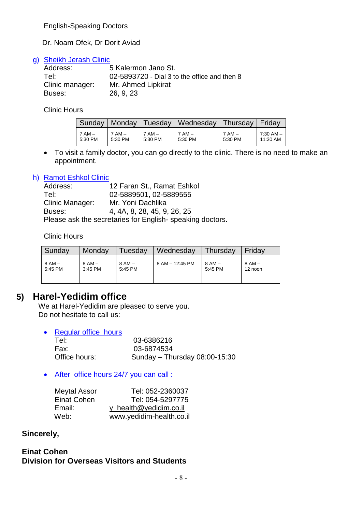English-Speaking Doctors

Dr. Noam Ofek, Dr Dorit Aviad

#### g) Sheikh Jerash Clinic

| Address:        | 5 Kalermon Jano St.                          |
|-----------------|----------------------------------------------|
| Tel:            | 02-5893720 - Dial 3 to the office and then 8 |
| Clinic manager: | Mr. Ahmed Lipkirat                           |
| Buses:          | 26, 9, 23                                    |

Clinic Hours

| Sunday   | Monday   |            | Tuesday   Wednesday   Thursday   Friday |         |           |
|----------|----------|------------|-----------------------------------------|---------|-----------|
| $7 AM -$ | $7 AM -$ | $7$ AM $-$ | $7$ AM $-$                              | $7AM -$ | 7:30 AM – |
| 5:30 PM  | 5:30 PM  | 5:30 PM    | 5:30 PM                                 | 5:30 PM | 11:30 AM  |

 To visit a family doctor, you can go directly to the clinic. There is no need to make an appointment.

#### h) Ramot Eshkol Clinic

| Address:                                                 | 12 Faran St., Ramat Eshkol  |  |  |  |
|----------------------------------------------------------|-----------------------------|--|--|--|
| Tel:                                                     | 02-5889501, 02-5889555      |  |  |  |
| Clinic Manager:                                          | Mr. Yoni Dachlika           |  |  |  |
| Buses:                                                   | 4, 4A, 8, 28, 45, 9, 26, 25 |  |  |  |
| Please ask the secretaries for English-speaking doctors. |                             |  |  |  |

Clinic Hours

| Sunday  | Monday     | ⊺uesday  | Wednesday       | Thursday | Fridav  |
|---------|------------|----------|-----------------|----------|---------|
| $8AM -$ | $8$ AM $-$ | $8 AM -$ | 8 AM - 12:45 PM | $8AM -$  | 8 AM –  |
| 5:45 PM | 3:45 PM    | 5:45 PM  |                 | 5:45 PM  | 12 noon |

### **5) Harel-Yedidim office**

We at Harel-Yedidim are pleased to serve you. Do not hesitate to call us:

| $\bullet$ | <b>Regular office hours</b> |                               |
|-----------|-----------------------------|-------------------------------|
|           | Tel:                        | 03-6386216                    |
|           | Fax:                        | 03-6874534                    |
|           | Office hours:               | Sunday - Thursday 08:00-15:30 |

#### After office hours 24/7 you can call :

| <b>Meytal Assor</b> | Tel: 052-2360037         |
|---------------------|--------------------------|
| Einat Cohen         | Tel: 054-5297775         |
| Email:              | y health@yedidim.co.il   |
| Web:                | www.yedidim-health.co.il |

#### **Sincerely,**

#### **Einat Cohen Division for Overseas Visitors and Students**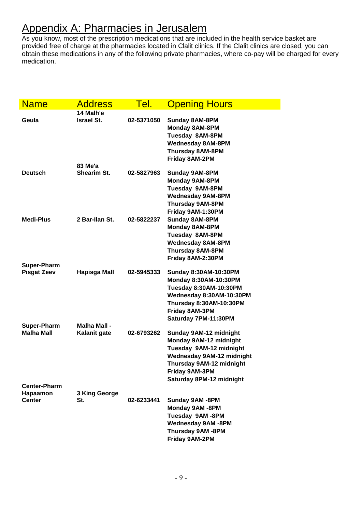## Appendix A: Pharmacies in Jerusalem

As you know, most of the prescription medications that are included in the health service basket are provided free of charge at the pharmacies located in Clalit clinics. If the Clalit clinics are closed, you can obtain these medications in any of the following private pharmacies, where co-pay will be charged for every medication.

| <b>Name</b>                                      | <b>Address</b>                 | Tel.       | <b>Opening Hours</b>                                                                                                                                                                      |
|--------------------------------------------------|--------------------------------|------------|-------------------------------------------------------------------------------------------------------------------------------------------------------------------------------------------|
| Geula                                            | 14 Malh'e<br><b>Israel St.</b> | 02-5371050 | <b>Sunday 8AM-8PM</b><br>Monday 8AM-8PM<br>Tuesday 8AM-8PM<br><b>Wednesday 8AM-8PM</b><br><b>Thursday 8AM-8PM</b><br>Friday 8AM-2PM                                                       |
| <b>Deutsch</b>                                   | 83 Me'a<br>Shearim St.         | 02-5827963 | <b>Sunday 9AM-8PM</b><br><b>Monday 9AM-8PM</b><br>Tuesday 9AM-8PM<br><b>Wednesday 9AM-8PM</b><br><b>Thursday 9AM-8PM</b>                                                                  |
| Medi-Plus                                        | 2 Bar-Ilan St.                 | 02-5822237 | Friday 9AM-1:30PM<br><b>Sunday 8AM-8PM</b><br><b>Monday 8AM-8PM</b><br>Tuesday 8AM-8PM<br><b>Wednesday 8AM-8PM</b><br><b>Thursday 8AM-8PM</b><br>Friday 8AM-2:30PM                        |
| <b>Super-Pharm</b><br><b>Pisgat Zeev</b>         | <b>Hapisga Mall</b>            | 02-5945333 | <b>Sunday 8:30AM-10:30PM</b><br>Monday 8:30AM-10:30PM<br>Tuesday 8:30AM-10:30PM<br>Wednesday 8:30AM-10:30PM<br>Thursday 8:30AM-10:30PM<br>Friday 8AM-3PM<br>Saturday 7PM-11:30PM          |
| <b>Super-Pharm</b><br><b>Malha Mall</b>          | Malha Mall -<br>Kalanit gate   | 02-6793262 | Sunday 9AM-12 midnight<br>Monday 9AM-12 midnight<br>Tuesday 9AM-12 midnight<br><b>Wednesday 9AM-12 midnight</b><br>Thursday 9AM-12 midnight<br>Friday 9AM-3PM<br>Saturday 8PM-12 midnight |
| <b>Center-Pharm</b><br>Hapaamon<br><b>Center</b> | 3 King George<br>St.           | 02-6233441 | Sunday 9AM -8PM<br>Monday 9AM -8PM<br>Tuesday 9AM-8PM<br><b>Wednesday 9AM -8PM</b><br>Thursday 9AM -8PM<br>Friday 9AM-2PM                                                                 |